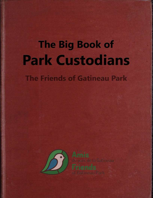# **The Big Book of Park Custodians**

**The Friends of Gatineau Park** 

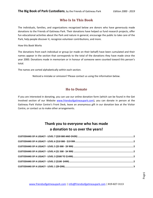# **Who Is In This Book**

The individuals, families, and organizations recognized below are donors who have generously made donations to the Friends of Gatineau Park. Their donations have helped us fund research projects, offer fun educational activities about the Park and nature in general, encourage the public to take care of the Park, help people discover it, recognize volunteer contributions, and more.

How this Book Works

The donations from each individual or group (or made on their behalf) have been cumulated and their names appear in the section that corresponds to the total of the donations they have made since the year 2000. Donations made in memoriam or in honour of someone were counted toward this person's total.

The names are sorted alphabetically within each section.

Noticed a mistake or omission? Please contact us using the information below.

#### **Ho to Donate**

If you are interested in donating, you can use our online donation form (which can be found in the Get Involved section of our Website [www.friendsofgatineaupark.com\)](http://www.friendsofgatineaupark.com/), you can donate in person at the Gatineau Park Visitor Centre's Front Desk, leave an anonymous gift in our donation box at the Visitor Centre, or contact us to make other arrangements.

# **Thank you to everyone who has made a donation to us over the years!**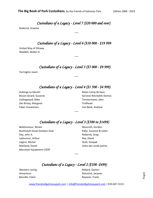*Custodians of a Legacy - Level 7 (\$20 000 and over)* 

---

<span id="page-2-0"></span>Roderick, Graeme

# *Custodians of a Legacy - Level 6 (\$10 000 - \$19 999*

<span id="page-2-1"></span>United Way of Ottawa Waddell, Walter G

## *Custodians of a Legacy - Level 5 (\$5 000 - \$9 999)*

---

<span id="page-2-2"></span>Yarrington Jason

# *Custodians of a Legacy - Level 4 (\$1 500 - \$4 999)*

---

<span id="page-2-3"></span>Auberge Le Moulin Bisson-Girard, Suzanne Collingwood, Mike Des Brisay, Margaret Faber Snowshoes

Relais Camp de base Services Récréatifs Demsis Timmermann, John Trailhead Van Beek, Andrew

# *Custodians of a Legacy - Level 3 (\$500 to \$1499)*

---

<span id="page-2-4"></span>Bellehumeur, Renée Bushtukah Great Outdoor Gear Day, John A. Ladouceur, Arthur Légère, Michel Maitland, David Mountain Equipment COOP

Muscroft, Gordon Raby, Suzanne & Julien Roderick, Greg Roy, David Shah, Deepak Velos des ronds points

# *Custodians of a Legacy - Level 2 (\$100 -\$499)*

---

<span id="page-2-5"></span>3beavers racing Anoymous Banville, Claire

Bédard, Gaston Boissinot, Jacques Boyaner, Frank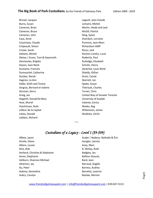Brunet, Jacques Burns, Susan Cameron, Brian Cameron, Bruce Cameron, John Caza, Anne Cousineau, Claude Crépeault, Simon Crowe, Sarah Dallaire, Michel Delsey | Evans, Tom & Gwynneth Desmeules, Brigitte Doyon, Jean-René Dumaine, Francois Dumouchel, Catherine Dunbar, Norah Gagnon, Jo Ann Gibbs, Keith and Teresa Gingras, Bernard et Valerie Gorman, Gerry Greig, Ian Hogarth, Donald & Mary How, Muriel Hutchinson, Ruth Lafleur de la Capital Lahey, Donald Leblanc, Richard

Legault, Jean-Claude Lemaire, Michel Martin, Heide and Jack McGill, Patrick Ning, Sylvie Overduin, Lorraine Purenne, Jean-Marc Richardson GMP Ricou, Jack Rochon-Landry, Lucie Roderick, Paul Rutledge, Elizabeth Schultz, Henry Sénéchal, Louis-René Shields, Gillian Sirois, Carole Skerrett, Ian Spoke, Susan Thériault, Charles Turner, Chris United Way of Greater Toronto University of Guelph Valente, Enrico Weeks, Reg Williamson, James Wodicka, Ulrich

# *Custodians of a Legacy - Level 1 (\$9-\$99)*

---

<span id="page-3-0"></span>Afkew, Jason Ainslie, Diana Allaire, Louise Alvo, Rob Amherd, Christian & Stéphanie Amos, Stephanie Ashburn, Shannon Michael Atherton, Jay Au, Peter Aubrey, Geneviève Aubry, Carolyn

Audet | Nadeau, Nathalie & Éric Aungier, Jacinta Avey, Marc B. McKay, Ruth Badgley, Ian Balfour-Doucet, Bard, Jean Barraud, Angèle Barress, Audrey Barretto, Laverne Baslaw, Morton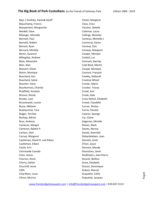Bays | Dunkley, Karen& Geoff Beauchamp, Francis Beauparlant, Marguerite Beedell, Dave Bélanger, Michelle Bennett, Paul Bennett, Robert Benson, Ryan Bernard, Michèle Bertin, Suzanne Billingsley, Andrew Blain, Alexandre Blair, Alan Boisvert, Diane Boivin, Monique Bouchard, Ken Bouchard, Sylvie Boucher, Irène Bourbonnais, Chantal Bradfield, Annette Brisson, Nicole Brooks, Lyse Bruzstowski, Louise Bryce, Mélanie Bucklaschuk, Tara Bulger, Terrilee Burhop, Adrian Buss, Andreas Cameron, Margot Cameron, Robert P. Carlson, Stan Carney, Margaret Castleman, David H. and Eileen Castleman, Eileen Cecile, Erin Centreaide Canada Chan, James Charron, Anick Cherry, Stefan Churchill, Anne CIDA Cinq-Mars, Louis Citron, Murray

Clarke, Margaret Claus, Erica Cloutier, Natalie Coleman, Laura Collings, Nicholas Comeau, Michelle L Contreras, Karen Conway, Don Conway, Margaret Cooper, Michael Corbeil, Luc Cormack, Barclay Coté Beck, Martin Coupal, Monique Couture, François Cowley, Deborah Creative Wheel Crevier, Marie Crocker, Tracey Crook, Ann Crook, Dale Cross Nichol, Elisabeth Crowe, Claudelle Curran, Shirley Currie, Pamela Cwynar, George Cyr, Claire Dagenais, Mireille Davies, Mark Davies, Norma Daviet, Gwendal Debardeleben, Joan Demark, Scott D'Eon, Joyce Derome, Maude Desroches, Janet DesRosiers, Jean-Pierre Doucet, Belfour Drew, Elizabeth Drouin, Dominique Dubois, Marcel Duquette, Collin Duquette, Jacques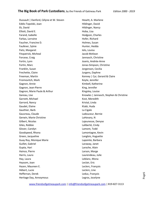Dussault | Danford, Célyne et W. Steven Eddis-Topolski, Joan Ek, David Elliott, David E. Farand, Isabelle Farkas, Lorraine Faucher, Francine D. Faulkner, Sylvie Fietz, Margaret Fitzpatrick, Micheal Forcese, Craig Fortin, Lynn Fortin, Marc Franklin, Susan Frechette, Claire Freeman, Martin Froimovitch, Mark Gagnon, Annie Gagnon, Jean-Pierre Gagnon, Marie Paule & Arthur Gareau, Lise Garnett, Michael Garrard, Nancy Gaudet, Elaine Gauthier, Barb Gauvreau, Claude Gerwin, Marie Christine Gilbert, Nicolas Giles, Robbie Glover, Carolyn Goodspeed, Rhona Green, Jacqueline Guay Roy, Monique Marie Guillet, Gabriel Gupta, Hari Haince, Pierre Harris, Laura Hay, Laura Haysom, Joan Hazen, Maureen E. Hébert, Lucie Heffernan, Derek Heritage Day, Annoymous

Hewitt, A. Marlene Hildinger, David Hildinger, Nancy Hoba, Lisa Hodgson, Charles Hofer, Richard Holmes, Susan Hunter, Hedda Ielo, Louisa Jacob McKean Jannasch, Christine Joanis, Andrée-Anne Jonas-Simpson, Christine Jorgenson, Cecilia Jurgens, Daphne Kenney | Cyr, Gerard & Claire Keyte, Jennifer Kimbell, Katherine King, Jennifer Kingsley, Louise Knowles | Jannasch, Stephen & Christine Kost, Meredith Kristal, Linda Ktabi, Huda La Cigale Ladouceur, Bernie LaHovary, N Lajeunesse, Denyse Laliberté, Cindy Lamont, Todd Lamontagne, Kevin Langlois, Huguette Lapointe, Barbara Laraway, Janet Laroche, Alain Larson, Marge Laurendeau, Julie Leblanc, Mona Leclair, Eric Leclerc, François Leclerc, Line Leduc, François Legros, Jocelyne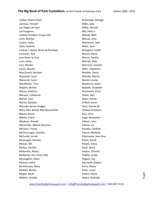LeMay, Marie-Claire Lemieux, Donald Les Doigts de Faye Les Fougères Lesbian Outdoor Group LOG Letts, Marilyn Levine, Helen Lilley, Dolores Lindsay | Gould, Bruce & Penelope Lorenson, Ron Low Down to Hull Lunn, Katie Lutz, Nicolas Lynch, Wayne MacConaill, Michael MacLeod, Carol MacLeod, Carol MacMaster, Tara Madott, Bertha Manca, Antonio Marquis, Catherine Martel, Jean Martin, Barbara Maruska Aerian Images Mary Ellen Wood, Rob MacLachlan Mason, Bruce Mattar, Claire Maybury, Ronald Mazumder, Bibhuti Bhushan McCann, Tracey McCrea-Logie, Jennifer McCurdy, Jerred McDougall, Pamela McGee, Bill McKay, Carolyn McKendry, Nancy McKenzie, Jim, Janet, Rob McLaughlin, Steve Mclean, Cathy McWhinney, Mary Medott, Bertha Megas, Sarah Méthot, Ginette

M'Gonigle, Shelagh Milks, Judy Millar, Wendy Mix, Peter J. Mlacak, Beth Mlacak, John Mohamed, Said Mohr, Sara Mongeon, Judith Moore, David Moore, Sandra Morrell, Giles Morrison, Gordon MSSI - Edelweiss Mueller, David Mündel, Martin Nantel, Louise Nickerson, Jason Nisbeth, Elizabeth Nussbaum, Chris Oliver, Don Olson, Penny O'Neill, Karen Oost, Dianne W Ottawa Outdoors Paci, Chris Pagé, Geneviève Palmer, John Palmer, Liz Paradis, Caroline Parent, Michelle Patenaude, Jean-Guy Paton, David Pattee, Diana Paull, David Paulun, Christel Pedley, Lynda Pepper, Lee Perreault, Robert Perry, Sheila Peter, Justin Peters, Glynis Peters, Nathalie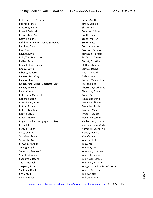Petrovai, Geza & Elena Poitras, France Porteous, Nancy Powell, Deborah Provencher, Paul Raby, Roxanne Rafalski | Chevrier, Donna & Wayne Ramirez, Elena Ray, Tom Rayner, David Reid, Tom & Rose Ann Reilley, Susan Rheault, Jean-Philippe Rhody, David Ribeiro, Roberto Richard, Jean-Guy Richard, Jocelyne Richer, Paul, Gillian, Charlotte, Cléo Richer, Vincent Rivet, Charles Robertson, Campbell Rogers, Sharon Rosenbaum, Stan Rother, Estelle Rother, Gershon Rouy, Sophie Rowe, Andrea Royal Canadian Geographic Society Russell, Ken Samuel, Judith Saso, Charles Schreiner, Diane Schwartz, Ann Schwarz, Anneke Searag, Sagal Sénéchal, Pascale D. Sewell, Stephanie Shankman, Deena Shea, Michael Shepard, Susan Shulman, Randi Sim Group Simard, Gilles

Simon, Scott Sirois, Danielle Ski Vorlage Smedley, Alison Smith, Duane Smith, Marilyn Smith, Nate Soto, Anouchka Soyenka, Barbara Springuel, Percole St. Aubin, Carole Stecyk, Christine St-Onge, Marcel Sulway, Desna Tabacnik, Ruth Talbot, Julie Tardiff, Margaret and Ernie Taylor, Helga Therriault, Catherine Thomson, Sheila Toller, Ruth Toussaint, Daniel Tremblay, Élaine Tremblay, Paule Trottier, Miguel Tyson, Rebecca Udvarhelyi, John Vaillancourt, Louise Vazquez, Rosa Marta Verreault, Catherine Verret, Joannie Visa Canada Warren, Jack Way, Paul Weckler, Linda Wheaton, Lorraine White, Rosanna Whittaker, Cathie Whitwan, Nanette Wiggans | Quinn, Don & Cecily Wigley, Georgina Willis, Alette Wilson, Laurie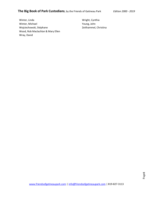Winter, Linda Winter, Michael Wojciechowski, Stéphane Wood, Rob Maclachlan & Mary Ellen Wray, David

Wright, Cynthia Young, John Zeithammel, Christina